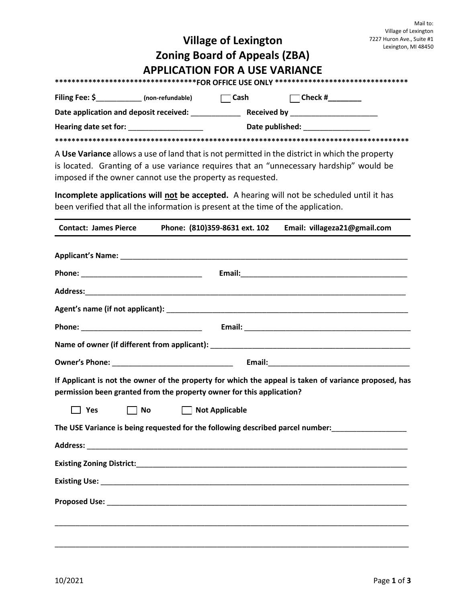|                              |                                                                                                                |                                      |                                                                                                                                                                                            | Mail to:<br>Village of Lexington                 |
|------------------------------|----------------------------------------------------------------------------------------------------------------|--------------------------------------|--------------------------------------------------------------------------------------------------------------------------------------------------------------------------------------------|--------------------------------------------------|
| <b>Village of Lexington</b>  |                                                                                                                |                                      |                                                                                                                                                                                            | 7227 Huron Ave., Suite #1<br>Lexington, MI 48450 |
|                              |                                                                                                                | <b>Zoning Board of Appeals (ZBA)</b> |                                                                                                                                                                                            |                                                  |
|                              | <b>APPLICATION FOR A USE VARIANCE</b>                                                                          |                                      |                                                                                                                                                                                            |                                                  |
|                              |                                                                                                                |                                      | **********************************FOR OFFICE USE ONLY ********************************                                                                                                     |                                                  |
|                              |                                                                                                                |                                      |                                                                                                                                                                                            |                                                  |
|                              |                                                                                                                |                                      |                                                                                                                                                                                            |                                                  |
|                              |                                                                                                                |                                      |                                                                                                                                                                                            |                                                  |
|                              | imposed if the owner cannot use the property as requested.                                                     |                                      | A Use Variance allows a use of land that is not permitted in the district in which the property<br>is located. Granting of a use variance requires that an "unnecessary hardship" would be |                                                  |
|                              | been verified that all the information is present at the time of the application.                              |                                      | Incomplete applications will not be accepted. A hearing will not be scheduled until it has                                                                                                 |                                                  |
| <b>Contact: James Pierce</b> |                                                                                                                |                                      | Phone: (810)359-8631 ext. 102 Email: villageza21@gmail.com                                                                                                                                 |                                                  |
|                              | Phone: All and the contract of the contract of the contract of the contract of the contract of the contract of |                                      |                                                                                                                                                                                            |                                                  |
|                              |                                                                                                                |                                      |                                                                                                                                                                                            |                                                  |
|                              |                                                                                                                |                                      |                                                                                                                                                                                            |                                                  |
|                              |                                                                                                                |                                      |                                                                                                                                                                                            |                                                  |
|                              |                                                                                                                |                                      |                                                                                                                                                                                            |                                                  |
|                              |                                                                                                                |                                      |                                                                                                                                                                                            |                                                  |
|                              |                                                                                                                |                                      |                                                                                                                                                                                            |                                                  |
|                              | permission been granted from the property owner for this application?                                          |                                      | If Applicant is not the owner of the property for which the appeal is taken of variance proposed, has                                                                                      |                                                  |
| $\Box$ Yes                   | <b>No</b>                                                                                                      | □ Not Applicable                     |                                                                                                                                                                                            |                                                  |
|                              |                                                                                                                |                                      | The USE Variance is being requested for the following described parcel number:                                                                                                             |                                                  |
|                              |                                                                                                                |                                      |                                                                                                                                                                                            |                                                  |
|                              |                                                                                                                |                                      |                                                                                                                                                                                            |                                                  |
|                              |                                                                                                                |                                      |                                                                                                                                                                                            |                                                  |
|                              |                                                                                                                |                                      |                                                                                                                                                                                            |                                                  |
|                              |                                                                                                                |                                      |                                                                                                                                                                                            |                                                  |
|                              |                                                                                                                |                                      |                                                                                                                                                                                            |                                                  |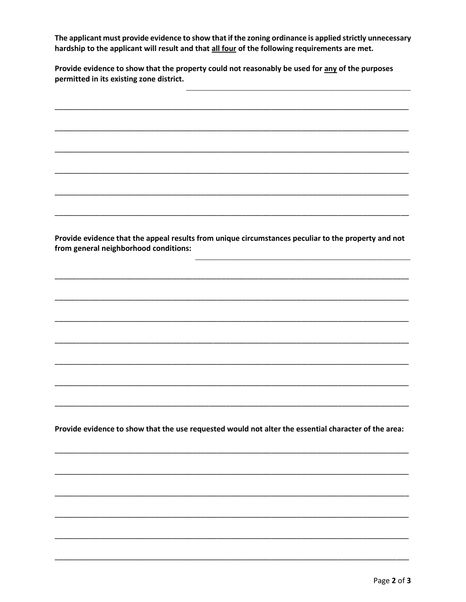The applicant must provide evidence to show that if the zoning ordinance is applied strictly unnecessary hardship to the applicant will result and that all four of the following requirements are met.

Provide evidence to show that the property could not reasonably be used for any of the purposes permitted in its existing zone district.

Provide evidence that the appeal results from unique circumstances peculiar to the property and not from general neighborhood conditions: Provide evidence to show that the use requested would not alter the essential character of the area: